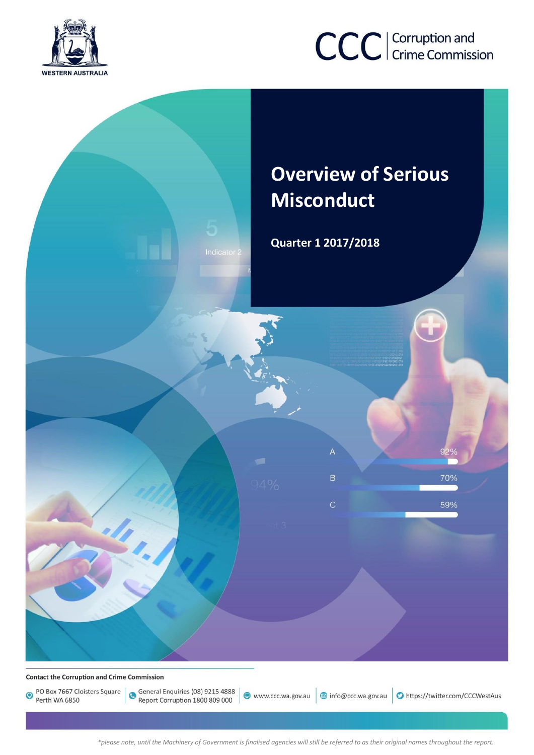

# CCC | Corruption and

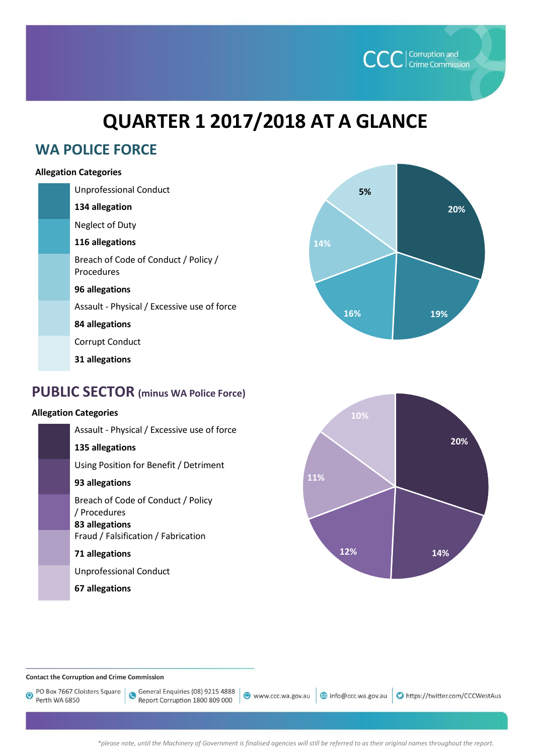

## **QUARTER 1 2017/2018 AT A GLANCE**

## **WA POLICE FORCE**

## **Allegation Categories**

| <b>Unprofessional Conduct</b>                      |
|----------------------------------------------------|
| 134 allegation                                     |
| Neglect of Duty                                    |
| 116 allegations                                    |
| Breach of Code of Conduct / Policy /<br>Procedures |
| 96 allegations                                     |
| Assault - Physical / Excessive use of force        |
| 84 allegations                                     |
| Corrupt Conduct                                    |
| 31 allegations                                     |
|                                                    |



## **Allegation Categories**

| Assault - Physical / Excessive use of force                          |
|----------------------------------------------------------------------|
| 135 allegations                                                      |
| Using Position for Benefit / Detriment                               |
| 93 allegations                                                       |
| Breach of Code of Conduct / Policy<br>/ Procedures<br>83 allegations |
| Fraud / Falsification / Fabrication                                  |
| 71 allegations                                                       |
| <b>Unprofessional Conduct</b>                                        |
| 67 allegations                                                       |





#### **Contact the Corruption and Crime Commission**

PO Box 7667 Cloisters Square  $\bullet$ Perth WA 6850

General Enquiries (08) 9215 4888 Report Corruption 1800 809 000

www.ccc.wa.gov.au

info@ccc.wa.gov.au Dhttps://twitter.com/CCCWestAus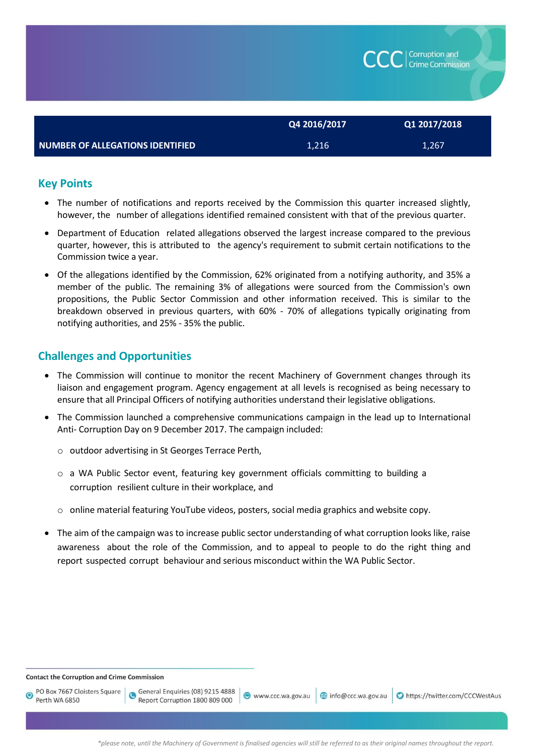|                                  | Q4 2016/2017 | Q1 2017/2018 |
|----------------------------------|--------------|--------------|
| NUMBER OF ALLEGATIONS IDENTIFIED | 1,216        | 1,267        |

## **Key Points**

- The number of notifications and reports received by the Commission this quarter increased slightly, however, the number of allegations identified remained consistent with that of the previous quarter.
- Department of Education related allegations observed the largest increase compared to the previous quarter, however, this is attributed to the agency's requirement to submit certain notifications to the Commission twice a year.
- Of the allegations identified by the Commission, 62% originated from a notifying authority, and 35% a member of the public. The remaining 3% of allegations were sourced from the Commission's own propositions, the Public Sector Commission and other information received. This is similar to the breakdown observed in previous quarters, with 60% - 70% of allegations typically originating from notifying authorities, and 25% - 35% the public.

## **Challenges and Opportunities**

- The Commission will continue to monitor the recent Machinery of Government changes through its liaison and engagement program. Agency engagement at all levels is recognised as being necessary to ensure that all Principal Officers of notifying authorities understand their legislative obligations.
- The Commission launched a comprehensive communications campaign in the lead up to International Anti- Corruption Day on 9 December 2017. The campaign included:
	- o outdoor advertising in St Georges Terrace Perth,
	- o a WA Public Sector event, featuring key government officials committing to building a corruption resilient culture in their workplace, and
	- $\circ$  online material featuring YouTube videos, posters, social media graphics and website copy.
- The aim of the campaign was to increase public sector understanding of what corruption looks like, raise awareness about the role of the Commission, and to appeal to people to do the right thing and report suspected corrupt behaviour and serious misconduct within the WA Public Sector.

**Contact the Corruption and Crime Commission** 

PO Box 7667 Cloisters Square  $\bullet$ Perth WA 6850

General Enquiries (08) 9215 4888 Report Corruption 1800 809 000

● www.ccc.wa.gov.au | 3 info@ccc.wa.gov.au | ● https://twitter.com/CCCWestAus

| Corruption and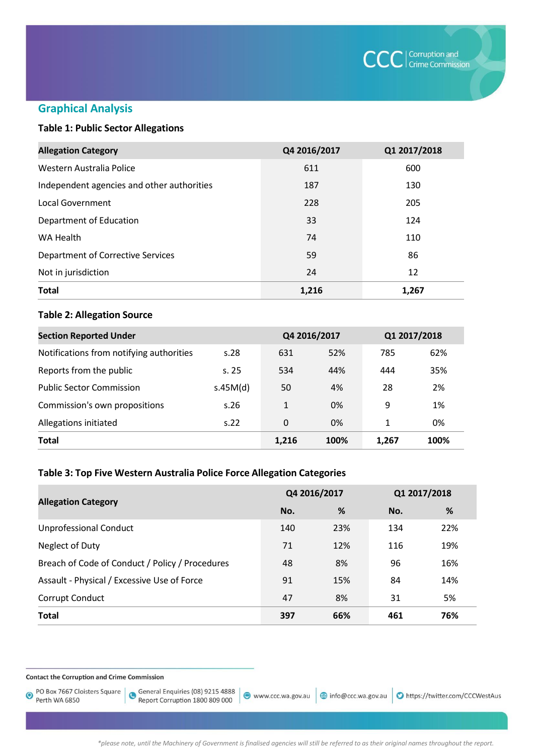

## **Graphical Analysis**

## **Table 1: Public Sector Allegations**

| <b>Allegation Category</b>                 | Q4 2016/2017 | Q1 2017/2018 |
|--------------------------------------------|--------------|--------------|
| Western Australia Police                   | 611          | 600          |
| Independent agencies and other authorities | 187          | 130          |
| Local Government                           | 228          | 205          |
| Department of Education                    | 33           | 124          |
| WA Health                                  | 74           | 110          |
| Department of Corrective Services          | 59           | 86           |
| Not in jurisdiction                        | 24           | 12           |
| <b>Total</b>                               | 1,216        | 1,267        |

#### **Table 2: Allegation Source**

| <b>Section Reported Under</b>            |          | Q4 2016/2017 |      | Q1 2017/2018 |      |
|------------------------------------------|----------|--------------|------|--------------|------|
| Notifications from notifying authorities | s.28     | 631          | 52%  | 785          | 62%  |
| Reports from the public                  | s.25     | 534          | 44%  | 444          | 35%  |
| <b>Public Sector Commission</b>          | s.45M(d) | 50           | 4%   | 28           | 2%   |
| Commission's own propositions            | s.26     | 1            | 0%   | 9            | 1%   |
| Allegations initiated                    | S.22     | 0            | 0%   | 1            | 0%   |
| <b>Total</b>                             |          | 1,216        | 100% | 1,267        | 100% |

## **Table 3: Top Five Western Australia Police Force Allegation Categories**

|                                                 | Q4 2016/2017 |     | Q1 2017/2018 |     |
|-------------------------------------------------|--------------|-----|--------------|-----|
| <b>Allegation Category</b>                      | No.          | %   | No.          | %   |
| <b>Unprofessional Conduct</b>                   | 140          | 23% | 134          | 22% |
| Neglect of Duty                                 | 71           | 12% | 116          | 19% |
| Breach of Code of Conduct / Policy / Procedures | 48           | 8%  | 96           | 16% |
| Assault - Physical / Excessive Use of Force     | 91           | 15% | 84           | 14% |
| Corrupt Conduct                                 | 47           | 8%  | 31           | 5%  |
| <b>Total</b>                                    | 397          | 66% | 461          | 76% |

**Contact the Corruption and Crime Commission** 

PO Box 7667 Cloisters Square  $\ddot{\mathbf{O}}$ Perth WA 6850

General Enquiries (08) 9215 4888<br>Report Corruption 1800 809 000

www.ccc.wa.gov.au

@ info@ccc.wa.gov.au | O https://twitter.com/CCCWestAus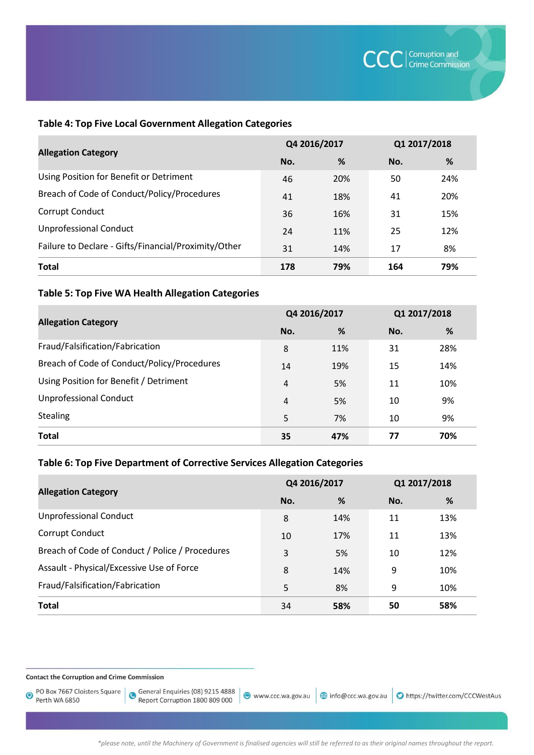#### **Table 4: Top Five Local Government Allegation Categories**

|                                                      | Q4 2016/2017 |     | Q1 2017/2018 |     |
|------------------------------------------------------|--------------|-----|--------------|-----|
| <b>Allegation Category</b>                           | No.          | %   | No.          | %   |
| Using Position for Benefit or Detriment              | 46           | 20% | 50           | 24% |
| Breach of Code of Conduct/Policy/Procedures          | 41           | 18% | 41           | 20% |
| Corrupt Conduct                                      | 36           | 16% | 31           | 15% |
| <b>Unprofessional Conduct</b>                        | 24           | 11% | 25           | 12% |
| Failure to Declare - Gifts/Financial/Proximity/Other | 31           | 14% | 17           | 8%  |
| <b>Total</b>                                         | 178          | 79% | 164          | 79% |

## **Table 5: Top Five WA Health Allegation Categories**

|                                             | Q4 2016/2017 |     | Q1 2017/2018 |     |
|---------------------------------------------|--------------|-----|--------------|-----|
| <b>Allegation Category</b>                  | No.          | %   | No.          | %   |
| Fraud/Falsification/Fabrication             | 8            | 11% | 31           | 28% |
| Breach of Code of Conduct/Policy/Procedures | 14           | 19% | 15           | 14% |
| Using Position for Benefit / Detriment      | 4            | 5%  | 11           | 10% |
| <b>Unprofessional Conduct</b>               | 4            | 5%  | 10           | 9%  |
| <b>Stealing</b>                             | 5            | 7%  | 10           | 9%  |
| <b>Total</b>                                | 35           | 47% | 77           | 70% |

## **Table 6: Top Five Department of Corrective Services Allegation Categories**

| <b>Allegation Category</b>                      | Q4 2016/2017 |     | Q1 2017/2018 |     |
|-------------------------------------------------|--------------|-----|--------------|-----|
|                                                 | No.          | %   | No.          | %   |
| <b>Unprofessional Conduct</b>                   | 8            | 14% | 11           | 13% |
| Corrupt Conduct                                 | 10           | 17% | 11           | 13% |
| Breach of Code of Conduct / Police / Procedures | 3            | 5%  | 10           | 12% |
| Assault - Physical/Excessive Use of Force       | 8            | 14% | 9            | 10% |
| Fraud/Falsification/Fabrication                 | 5            | 8%  | 9            | 10% |
| <b>Total</b>                                    | 34           | 58% | 50           | 58% |

**Contact the Corruption and Crime Commission** 

PO Box 7667 Cloisters Square  $\odot$ Perth WA 6850

General Enquiries (08) 9215 4888<br>Report Corruption 1800 809 000

● www.ccc.wa.gov.au | 3 info@ccc.wa.gov.au | ● https://twitter.com/CCCWestAus